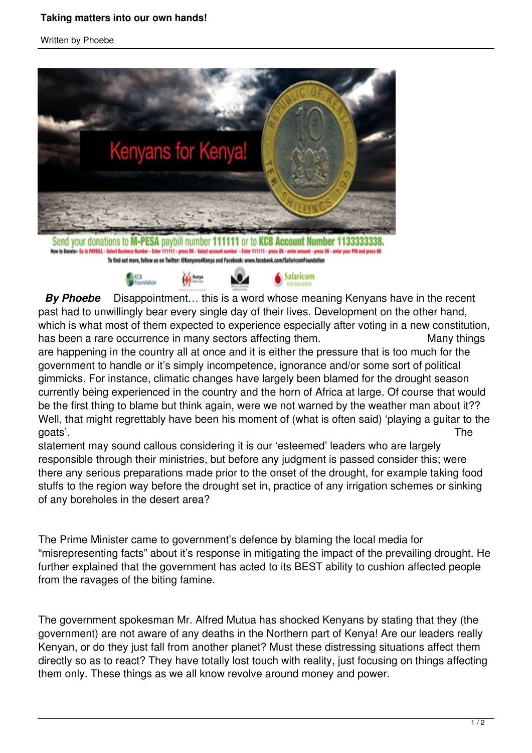## **Taking matters into our own hands!**

## Written by Phoebe



Send your donations to M-PESA paybill number 111111 or to KCB iness Number - Enter 111111 - press DK - Select account nu ber - Enter 111111 - press OK - enter am Now to Donate:- Go to PAYRILL - Select Bu To find out more, follow us on Twitter: @Kenyans4Kenya and Facebook: www.facebook.com/SafaricomFoundation



**By Phoebe** Disappointment... this is a word whose meaning Kenyans have in the recent past had to unwillingly bear every single day of their lives. Development on the other hand, which is what most of them expected to experience especially after voting in a new constitution, has been a rare occurrence in many sectors affecting them. Many things are happening in the country all at once and it is either the pressure that is too much for the government to handle or it's simply incompetence, ignorance and/or some sort of political

gimmicks. For instance, climatic changes have largely been blamed for the drought season currently being experienced in the country and the horn of Africa at large. Of course that would be the first thing to blame but think again, were we not warned by the weather man about it?? Well, that might regrettably have been his moment of (what is often said) 'playing a guitar to the goats'. The

statement may sound callous considering it is our 'esteemed' leaders who are largely responsible through their ministries, but before any judgment is passed consider this; were there any serious preparations made prior to the onset of the drought, for example taking food stuffs to the region way before the drought set in, practice of any irrigation schemes or sinking of any boreholes in the desert area?

The Prime Minister came to government's defence by blaming the local media for "misrepresenting facts" about it's response in mitigating the impact of the prevailing drought. He further explained that the government has acted to its BEST ability to cushion affected people from the ravages of the biting famine.

The government spokesman Mr. Alfred Mutua has shocked Kenyans by stating that they (the government) are not aware of any deaths in the Northern part of Kenya! Are our leaders really Kenyan, or do they just fall from another planet? Must these distressing situations affect them directly so as to react? They have totally lost touch with reality, just focusing on things affecting them only. These things as we all know revolve around money and power.